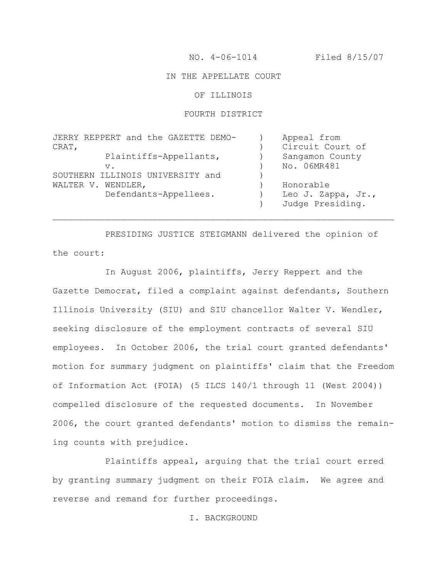NO. 4-06-1014 Filed 8/15/07

### IN THE APPELLATE COURT

OF ILLINOIS

#### FOURTH DISTRICT

| JERRY REPPERT and the GAZETTE DEMO- | Appeal from        |
|-------------------------------------|--------------------|
| CRAT,                               | Circuit Court of   |
| Plaintiffs-Appellants,              | Sangamon County    |
| $V$ .                               | No. 06MR481        |
| SOUTHERN ILLINOIS UNIVERSITY and    |                    |
| WALTER V. WENDLER,                  | Honorable          |
| Defendants-Appellees.               | Leo J. Zappa, Jr., |
|                                     | Judge Presiding.   |

PRESIDING JUSTICE STEIGMANN delivered the opinion of the court:

 $\mathcal{L}_\text{max} = \mathcal{L}_\text{max} = \mathcal{L}_\text{max} = \mathcal{L}_\text{max} = \mathcal{L}_\text{max} = \mathcal{L}_\text{max} = \mathcal{L}_\text{max} = \mathcal{L}_\text{max} = \mathcal{L}_\text{max} = \mathcal{L}_\text{max} = \mathcal{L}_\text{max} = \mathcal{L}_\text{max} = \mathcal{L}_\text{max} = \mathcal{L}_\text{max} = \mathcal{L}_\text{max} = \mathcal{L}_\text{max} = \mathcal{L}_\text{max} = \mathcal{L}_\text{max} = \mathcal{$ 

In August 2006, plaintiffs, Jerry Reppert and the Gazette Democrat, filed a complaint against defendants, Southern Illinois University (SIU) and SIU chancellor Walter V. Wendler, seeking disclosure of the employment contracts of several SIU employees. In October 2006, the trial court granted defendants' motion for summary judgment on plaintiffs' claim that the Freedom of Information Act (FOIA) (5 ILCS 140/1 through 11 (West 2004)) compelled disclosure of the requested documents. In November 2006, the court granted defendants' motion to dismiss the remaining counts with prejudice.

Plaintiffs appeal, arguing that the trial court erred by granting summary judgment on their FOIA claim. We agree and reverse and remand for further proceedings.

## I. BACKGROUND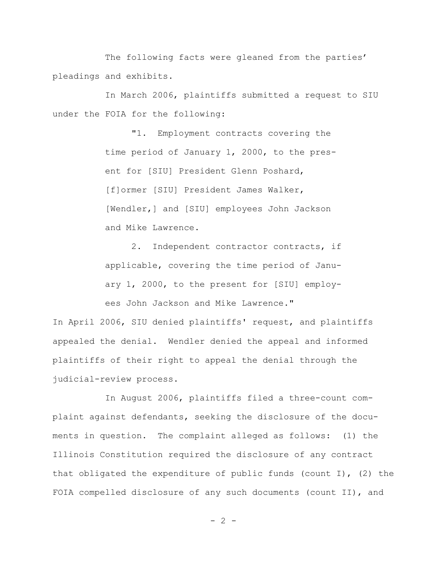The following facts were gleaned from the parties' pleadings and exhibits.

In March 2006, plaintiffs submitted a request to SIU under the FOIA for the following:

> "1. Employment contracts covering the time period of January 1, 2000, to the present for [SIU] President Glenn Poshard, [f]ormer [SIU] President James Walker, [Wendler,] and [SIU] employees John Jackson and Mike Lawrence.

2. Independent contractor contracts, if applicable, covering the time period of January 1, 2000, to the present for [SIU] employees John Jackson and Mike Lawrence."

In April 2006, SIU denied plaintiffs' request, and plaintiffs appealed the denial. Wendler denied the appeal and informed plaintiffs of their right to appeal the denial through the judicial-review process.

In August 2006, plaintiffs filed a three-count complaint against defendants, seeking the disclosure of the documents in question. The complaint alleged as follows: (1) the Illinois Constitution required the disclosure of any contract that obligated the expenditure of public funds (count I), (2) the FOIA compelled disclosure of any such documents (count II), and

 $- 2 -$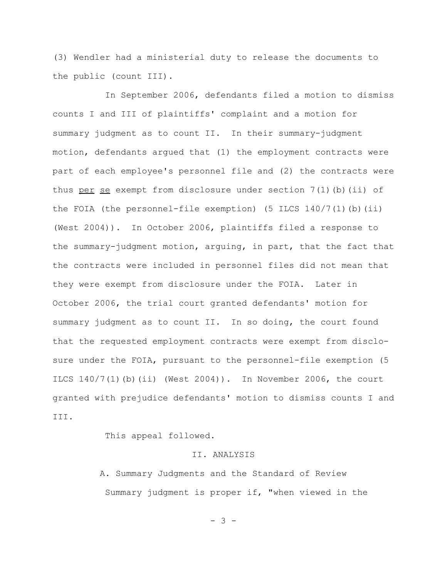(3) Wendler had a ministerial duty to release the documents to the public (count III).

In September 2006, defendants filed a motion to dismiss counts I and III of plaintiffs' complaint and a motion for summary judgment as to count II. In their summary-judgment motion, defendants argued that (1) the employment contracts were part of each employee's personnel file and (2) the contracts were thus per se exempt from disclosure under section  $7(1)$  (b) (ii) of the FOIA (the personnel-file exemption) (5 ILCS  $140/7(1)$  (b)(ii) (West 2004)). In October 2006, plaintiffs filed a response to the summary-judgment motion, arguing, in part, that the fact that the contracts were included in personnel files did not mean that they were exempt from disclosure under the FOIA. Later in October 2006, the trial court granted defendants' motion for summary judgment as to count II. In so doing, the court found that the requested employment contracts were exempt from disclosure under the FOIA, pursuant to the personnel-file exemption (5 ILCS  $140/7(1)$  (b) (ii) (West 2004)). In November 2006, the court granted with prejudice defendants' motion to dismiss counts I and III.

This appeal followed.

### II. ANALYSIS

A. Summary Judgments and the Standard of Review Summary judgment is proper if, "when viewed in the

- 3 -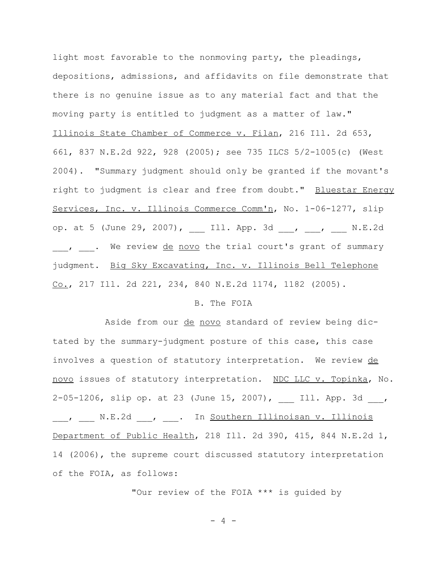light most favorable to the nonmoving party, the pleadings, depositions, admissions, and affidavits on file demonstrate that there is no genuine issue as to any material fact and that the moving party is entitled to judgment as a matter of law." Illinois State Chamber of Commerce v. Filan, 216 Ill. 2d 653, 661, 837 N.E.2d 922, 928 (2005); see 735 ILCS 5/2-1005(c) (West 2004). "Summary judgment should only be granted if the movant's right to judgment is clear and free from doubt." Bluestar Energy Services, Inc. v. Illinois Commerce Comm'n, No. 1-06-1277, slip op. at 5 (June 29, 2007), \_\_\_ Ill. App. 3d \_\_\_, \_\_\_, \_\_\_ N.E.2d , . We review de novo the trial court's grant of summary judgment. Big Sky Excavating, Inc. v. Illinois Bell Telephone  $Co.$ , 217 Ill. 2d 221, 234, 840 N.E.2d 1174, 1182 (2005).

#### B. The FOIA

Aside from our de novo standard of review being dictated by the summary-judgment posture of this case, this case involves a question of statutory interpretation. We review de novo issues of statutory interpretation. NDC LLC v. Topinka, No. 2-05-1206, slip op. at 23 (June 15, 2007), Ill. App. 3d , \_\_\_, \_\_\_ N.E.2d \_\_\_, \_\_\_. In Southern Illinoisan v. Illinois Department of Public Health, 218 Ill. 2d 390, 415, 844 N.E.2d 1, 14 (2006), the supreme court discussed statutory interpretation of the FOIA, as follows:

"Our review of the FOIA \*\*\* is guided by

- 4 -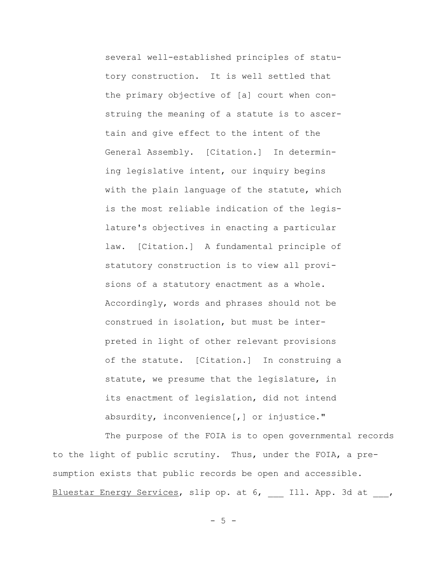several well-established principles of statutory construction. It is well settled that the primary objective of [a] court when construing the meaning of a statute is to ascertain and give effect to the intent of the General Assembly. [Citation.] In determining legislative intent, our inquiry begins with the plain language of the statute, which is the most reliable indication of the legislature's objectives in enacting a particular law. [Citation.] A fundamental principle of statutory construction is to view all provisions of a statutory enactment as a whole. Accordingly, words and phrases should not be construed in isolation, but must be interpreted in light of other relevant provisions of the statute. [Citation.] In construing a statute, we presume that the legislature, in its enactment of legislation, did not intend absurdity, inconvenience[,] or injustice."

The purpose of the FOIA is to open governmental records to the light of public scrutiny. Thus, under the FOIA, a presumption exists that public records be open and accessible. Bluestar Energy Services, slip op. at 6, Ill. App. 3d at ,

 $-5 -$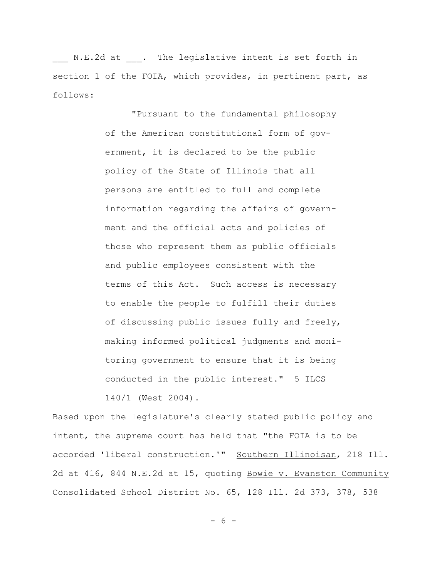N.E.2d at . The legislative intent is set forth in section 1 of the FOIA, which provides, in pertinent part, as follows:

> "Pursuant to the fundamental philosophy of the American constitutional form of government, it is declared to be the public policy of the State of Illinois that all persons are entitled to full and complete information regarding the affairs of government and the official acts and policies of those who represent them as public officials and public employees consistent with the terms of this Act. Such access is necessary to enable the people to fulfill their duties of discussing public issues fully and freely, making informed political judgments and monitoring government to ensure that it is being conducted in the public interest." 5 ILCS 140/1 (West 2004).

Based upon the legislature's clearly stated public policy and intent, the supreme court has held that "the FOIA is to be accorded 'liberal construction.'" Southern Illinoisan, 218 Ill. 2d at 416, 844 N.E.2d at 15, quoting Bowie v. Evanston Community Consolidated School District No. 65, 128 Ill. 2d 373, 378, 538

- 6 -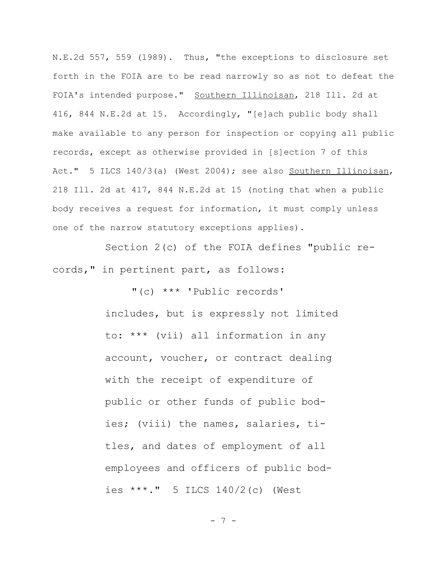N.E.2d 557, 559 (1989). Thus, "the exceptions to disclosure set forth in the FOIA are to be read narrowly so as not to defeat the FOIA's intended purpose." Southern Illinoisan, 218 Ill. 2d at 416, 844 N.E.2d at 15. Accordingly, "[e]ach public body shall make available to any person for inspection or copying all public records, except as otherwise provided in [s]ection 7 of this Act." 5 ILCS 140/3(a) (West 2004); see also Southern Illinoisan, 218 Ill. 2d at 417, 844 N.E.2d at 15 (noting that when a public body receives a request for information, it must comply unless one of the narrow statutory exceptions applies).

Section 2(c) of the FOIA defines "public records," in pertinent part, as follows:

> "(c) \*\*\* 'Public records' includes, but is expressly not limited to: \*\*\* (vii) all information in any account, voucher, or contract dealing with the receipt of expenditure of public or other funds of public bodies; (viii) the names, salaries, titles, and dates of employment of all employees and officers of public bodies \*\*\*." 5 ILCS 140/2(c) (West

> > - 7 -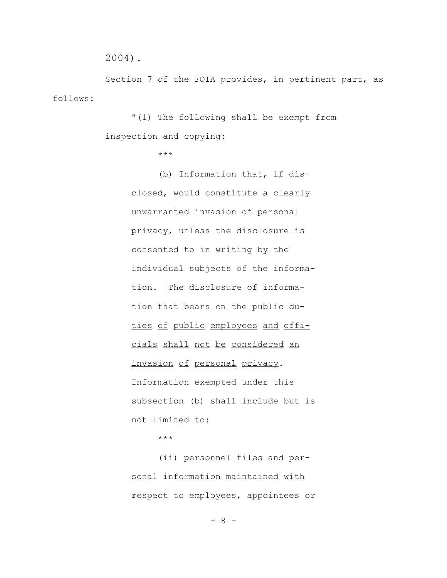```
2004).
```
Section 7 of the FOIA provides, in pertinent part, as follows:

> "(1) The following shall be exempt from inspection and copying:

> > \*\*\*

(b) Information that, if disclosed, would constitute a clearly unwarranted invasion of personal privacy, unless the disclosure is consented to in writing by the individual subjects of the information. The disclosure of information that bears on the public duties of public employees and officials shall not be considered an invasion of personal privacy. Information exempted under this subsection (b) shall include but is not limited to:

\*\*\*

(ii) personnel files and personal information maintained with respect to employees, appointees or

- 8 -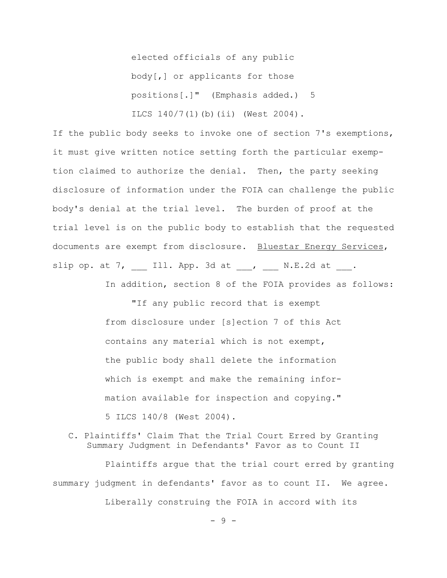elected officials of any public body[,] or applicants for those positions[.]" (Emphasis added.) 5 ILCS 140/7(1)(b)(ii) (West 2004).

If the public body seeks to invoke one of section 7's exemptions, it must give written notice setting forth the particular exemption claimed to authorize the denial. Then, the party seeking disclosure of information under the FOIA can challenge the public body's denial at the trial level. The burden of proof at the trial level is on the public body to establish that the requested documents are exempt from disclosure. Bluestar Energy Services, slip op. at  $7$ , Ill. App. 3d at , N.E.2d at .

In addition, section 8 of the FOIA provides as follows:

"If any public record that is exempt from disclosure under [s]ection 7 of this Act contains any material which is not exempt, the public body shall delete the information which is exempt and make the remaining information available for inspection and copying." 5 ILCS 140/8 (West 2004).

# C. Plaintiffs' Claim That the Trial Court Erred by Granting Summary Judgment in Defendants' Favor as to Count II

Plaintiffs argue that the trial court erred by granting summary judgment in defendants' favor as to count II. We agree. Liberally construing the FOIA in accord with its

 $-9 -$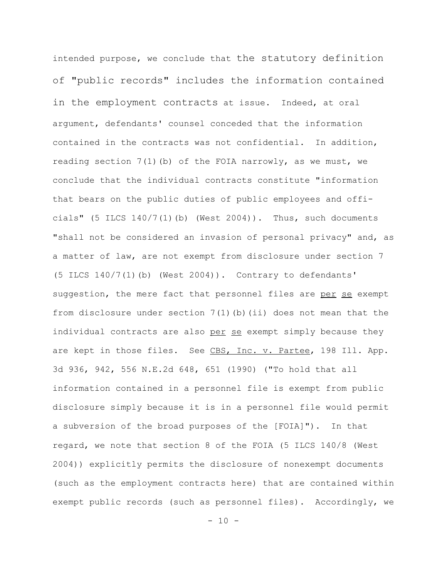intended purpose, we conclude that the statutory definition of "public records" includes the information contained in the employment contracts at issue. Indeed, at oral argument, defendants' counsel conceded that the information contained in the contracts was not confidential. In addition, reading section 7(1)(b) of the FOIA narrowly, as we must, we conclude that the individual contracts constitute "information that bears on the public duties of public employees and officials" (5 ILCS  $140/7(1)$  (b) (West  $2004$ )). Thus, such documents "shall not be considered an invasion of personal privacy" and, as a matter of law, are not exempt from disclosure under section 7 (5 ILCS  $140/7(1)$  (b) (West  $2004$ )). Contrary to defendants' suggestion, the mere fact that personnel files are per se exempt from disclosure under section  $7(1)$  (b) (ii) does not mean that the individual contracts are also per se exempt simply because they are kept in those files. See CBS, Inc. v. Partee, 198 Ill. App. 3d 936, 942, 556 N.E.2d 648, 651 (1990) ("To hold that all information contained in a personnel file is exempt from public disclosure simply because it is in a personnel file would permit a subversion of the broad purposes of the [FOIA]"). In that regard, we note that section 8 of the FOIA (5 ILCS 140/8 (West 2004)) explicitly permits the disclosure of nonexempt documents (such as the employment contracts here) that are contained within exempt public records (such as personnel files). Accordingly, we

 $- 10 -$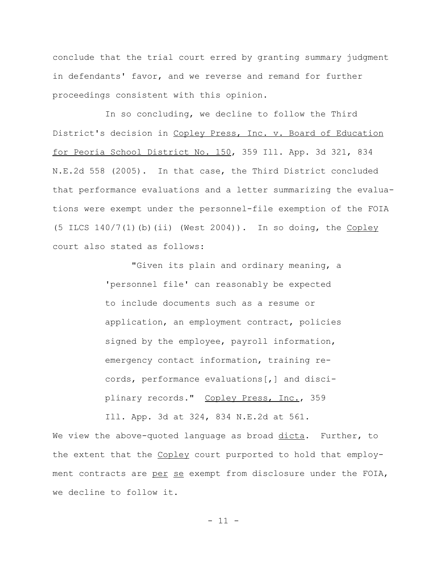conclude that the trial court erred by granting summary judgment in defendants' favor, and we reverse and remand for further proceedings consistent with this opinion.

In so concluding, we decline to follow the Third District's decision in Copley Press, Inc. v. Board of Education for Peoria School District No. 150, 359 Ill. App. 3d 321, 834 N.E.2d 558 (2005). In that case, the Third District concluded that performance evaluations and a letter summarizing the evaluations were exempt under the personnel-file exemption of the FOIA (5 ILCS  $140/7(1)$  (b)(ii) (West 2004)). In so doing, the  $Coplex$ court also stated as follows:

> "Given its plain and ordinary meaning, a 'personnel file' can reasonably be expected to include documents such as a resume or application, an employment contract, policies signed by the employee, payroll information, emergency contact information, training records, performance evaluations[,] and disciplinary records." Copley Press, Inc., 359 Ill. App. 3d at 324, 834 N.E.2d at 561.

We view the above-quoted language as broad dicta. Further, to the extent that the Copley court purported to hold that employment contracts are per se exempt from disclosure under the FOIA, we decline to follow it.

 $- 11 -$